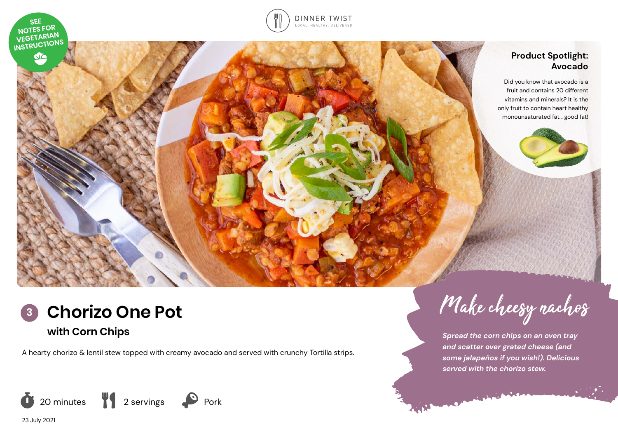



# **Product Spotlight: Avocado**

Did you know that avocado is a fruit and contains 20 different vitamins and minerals? It is the only fruit to contain heart healthy monounsaturated fat… good fat!



A hearty chorizo & lentil stew topped with creamy avocado and served with crunchy Tortilla strips.



*Spread the corn chips on an oven tray and scatter over grated cheese (and some jalapeños if you wish!). Delicious served with the chorizo stew.* 

 $\mathcal{L}(\mathcal{L})$ 

23 July 2021